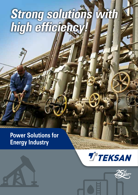# **Strong solutions with high efficiency!**

## **Power Solutions for Energy Industry**





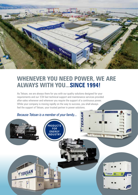

## **WHENEVER YOU NEED POWER, WE ARE ALWAYS WITH YOU...SINCE 1994!**

As Teksan, we are always there for you with our quality solutions designed for your requirements and our 7/24 fast technical support and maintenance services provided after-sales whenever and wherever you require the support of a continuous power. While your company is moving rapidly on the way to success, you shall always feel the support of Teksan, your trusted partner in power solutions.

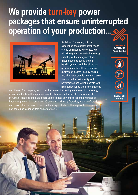## **We provide turn-key power packages that ensure uninterrupted operation of your production...**



As Teksan Generator, with our experience of a quarter century and strong engineering know-how, we add strength and value to the energy industry with our cogenerationtrigeneration solutions and our hybrid systems, and diesel and gas generators sets with international quality certificates used by engine and alternator brands that are known worldwide for their quality and performance and which operate with high performance under the toughest

conditions. Our company, which has become of the leading companies in the energy industry not only with its production infrastructure but also with its investments in human resources and R&D, offers uninterrupted power solutions to a number of important projects in more than 130 countries, primarily factories, and manufacturing and power plants of various sizes and our expert technical team provides the service and spare parts support fast and effectively .



**TAILOR-MADE SYSTEM AND PANEL DESIGNS**

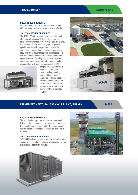#### **NATURAL GAS**

#### **PROJECT REQUIREMENTS**

Cost effective auxiliary power source with high efficiency and performance for all storage facility.

#### **SOLUTION WE HAVE PROVIDED**

The 1010 kW natural gas generator, the thermal efficiency of which is 49 % and the electrical efficiency of which is 39 %, providing all the energy the plant needs has been designed to operate synchronously with the grid that is available, and primarily when there is no grid. The system providing great advantages with these features also has an option to be converted into cogeneration system in case of adding heat recovery system, and brings along the opportunity to reach higher saving rates with such an improvement. With



this project, a solution with minimal environmental impact while producing energy at lower costs compared to diesel has been delivered to customer, and customer satisfaction has been ensured with the fast delivery of this affordable solution.





#### **EGEMER ERZİN NATURAL GAS CYCLE PLANT / TURKEY**

**DIESEL**

#### **PROJECT REQUIREMENTS**

The supply of energy that will be commissioned following the disconnection of the mains power and the switchboard and required for the operation of auxiliary plants, cooling and lubrication systems of turbines.

#### **SOLUTION WE HAVE PROVIDED**

1x2500 kVA diesel generator set with container type special sound insulation canopy which is suitable for synchronous operation with grid.



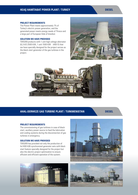#### **DIESEL**

#### **PROJECT REQUIREMENTS**

The Power Plant meets approximately 7% of Turkey's electric power generation, and the generated power meets energy needs of Thrace and a large part of European Side of Istanbul.

#### **SOLUTION WE HAVE PROVIDED**

TEKSAN products with 1 unit high voltage alternator (6,3 kV) 2500 kVA, 1 unit 1500 kVA (400 V) that we have specially designed for the project serves as the black start generator of the gas turbines in the project.





#### **AHAL-DERWEZE GAS TURBINE PLANT / TURKMENISTAN**

**DIESEL**

#### **PROJECT REQUIREMENTS**

The commissioning of gas turbines in case of blackstart, auxiliary power source to feed the lubrication and cooling systems during the disconnection of gas turbines in emergency.

#### **SOLUTION WE HAVE PROVIDED**

TEKSAN has provided not only the production of 4x1400 kVA synchronized generator sets with black start feature specially designed for the project but also the electric project optimization to ensure efficient and efficient operation of the system.